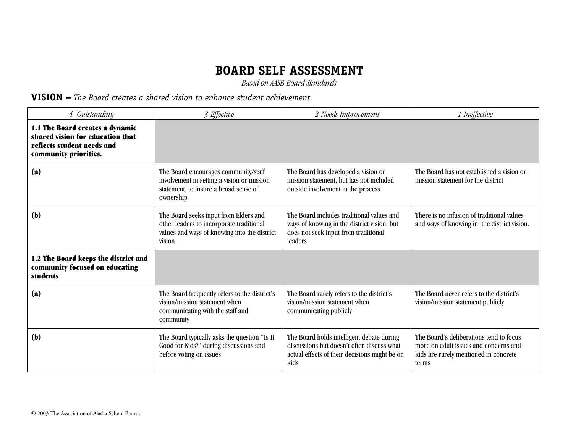*Based on AASB Board Standards*

#### **VISION –** *The Board creates a shared vision to enhance student achievement.*

| 4- Outstanding                                                                                                             | 3-Effective                                                                                                                                  | 2-Needs Improvement                                                                                                                              | 1-Ineffective                                                                                                                      |
|----------------------------------------------------------------------------------------------------------------------------|----------------------------------------------------------------------------------------------------------------------------------------------|--------------------------------------------------------------------------------------------------------------------------------------------------|------------------------------------------------------------------------------------------------------------------------------------|
| 1.1 The Board creates a dynamic<br>shared vision for education that<br>reflects student needs and<br>community priorities. |                                                                                                                                              |                                                                                                                                                  |                                                                                                                                    |
| (a)                                                                                                                        | The Board encourages community/staff<br>involvement in setting a vision or mission<br>statement, to insure a broad sense of<br>ownership     | The Board has developed a vision or<br>mission statement, but has not included<br>outside involvement in the process                             | The Board has not established a vision or<br>mission statement for the district                                                    |
| (b)                                                                                                                        | The Board seeks input from Elders and<br>other leaders to incorporate traditional<br>values and ways of knowing into the district<br>vision. | The Board includes traditional values and<br>ways of knowing in the district vision, but<br>does not seek input from traditional<br>leaders.     | There is no infusion of traditional values<br>and ways of knowing in the district vision.                                          |
| 1.2 The Board keeps the district and<br>community focused on educating<br>students                                         |                                                                                                                                              |                                                                                                                                                  |                                                                                                                                    |
| (a)                                                                                                                        | The Board frequently refers to the district's<br>vision/mission statement when<br>communicating with the staff and<br>community              | The Board rarely refers to the district's<br>vision/mission statement when<br>communicating publicly                                             | The Board never refers to the district's<br>vision/mission statement publicly                                                      |
| (b)                                                                                                                        | The Board typically asks the question "Is It<br>Good for Kids?" during discussions and<br>before voting on issues                            | The Board holds intelligent debate during<br>discussions but doesn't often discuss what<br>actual effects of their decisions might be on<br>kids | The Board's deliberations tend to focus<br>more on adult issues and concerns and<br>kids are rarely mentioned in concrete<br>terms |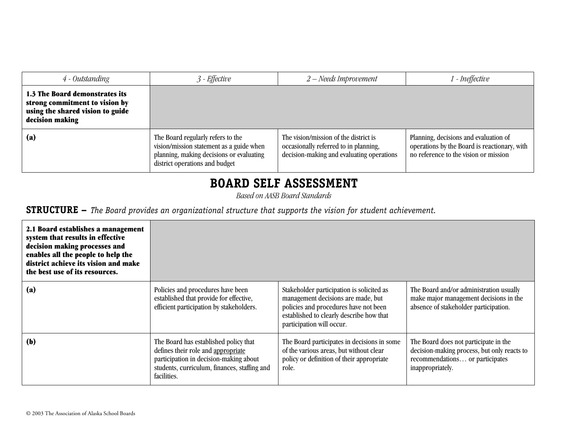| 4 - Outstanding                                                                                                         | $3$ - Effective                                                                                                                                             | $2 - Needs$ Improvement                                                                                                     | ! - Ineffective                                                                                                                |
|-------------------------------------------------------------------------------------------------------------------------|-------------------------------------------------------------------------------------------------------------------------------------------------------------|-----------------------------------------------------------------------------------------------------------------------------|--------------------------------------------------------------------------------------------------------------------------------|
| 1.3 The Board demonstrates its<br>strong commitment to vision by<br>using the shared vision to guide<br>decision making |                                                                                                                                                             |                                                                                                                             |                                                                                                                                |
| (a)                                                                                                                     | The Board regularly refers to the<br>vision/mission statement as a guide when<br>planning, making decisions or evaluating<br>district operations and budget | The vision/mission of the district is<br>occasionally referred to in planning,<br>decision-making and evaluating operations | Planning, decisions and evaluation of<br>operations by the Board is reactionary, with<br>no reference to the vision or mission |

*Based on AASB Board Standards*

#### **STRUCTURE –** *The Board provides an organizational structure that supports the vision for student achievement.*

| 2.1 Board establishes a management<br>system that results in effective<br>decision making processes and<br>enables all the people to help the<br>district achieve its vision and make<br>the best use of its resources. |                                                                                                                                                                                      |                                                                                                                                                                                                   |                                                                                                                                             |
|-------------------------------------------------------------------------------------------------------------------------------------------------------------------------------------------------------------------------|--------------------------------------------------------------------------------------------------------------------------------------------------------------------------------------|---------------------------------------------------------------------------------------------------------------------------------------------------------------------------------------------------|---------------------------------------------------------------------------------------------------------------------------------------------|
| (a)                                                                                                                                                                                                                     | Policies and procedures have been<br>established that provide for effective,<br>efficient participation by stakeholders.                                                             | Stakeholder participation is solicited as<br>management decisions are made, but<br>policies and procedures have not been<br>established to clearly describe how that<br>participation will occur. | The Board and/or administration usually<br>make major management decisions in the<br>absence of stakeholder participation.                  |
| (b)                                                                                                                                                                                                                     | The Board has established policy that<br>defines their role and appropriate<br>participation in decision-making about<br>students, curriculum, finances, staffing and<br>facilities. | The Board participates in decisions in some<br>of the various areas, but without clear<br>policy or definition of their appropriate<br>role.                                                      | The Board does not participate in the<br>decision-making process, but only reacts to<br>recommendations or participates<br>inappropriately. |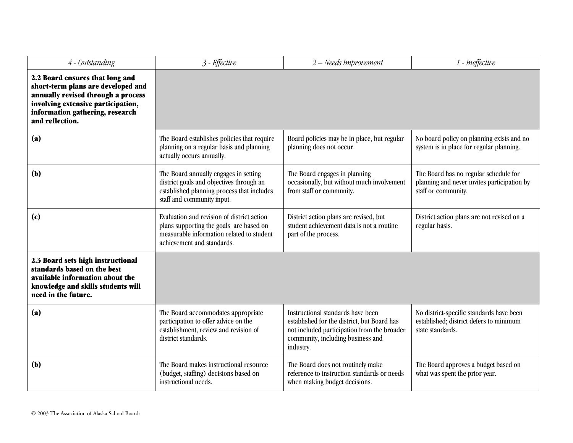| 4 - Outstanding                                                                                                                                                                                         | 3 - Effective                                                                                                                                                    | 2 - Needs Improvement                                                                                                                                                             | 1 - Ineffective                                                                                             |
|---------------------------------------------------------------------------------------------------------------------------------------------------------------------------------------------------------|------------------------------------------------------------------------------------------------------------------------------------------------------------------|-----------------------------------------------------------------------------------------------------------------------------------------------------------------------------------|-------------------------------------------------------------------------------------------------------------|
| 2.2 Board ensures that long and<br>short-term plans are developed and<br>annually revised through a process<br>involving extensive participation,<br>information gathering, research<br>and reflection. |                                                                                                                                                                  |                                                                                                                                                                                   |                                                                                                             |
| (a)                                                                                                                                                                                                     | The Board establishes policies that require<br>planning on a regular basis and planning<br>actually occurs annually.                                             | Board policies may be in place, but regular<br>planning does not occur.                                                                                                           | No board policy on planning exists and no<br>system is in place for regular planning.                       |
| (b)                                                                                                                                                                                                     | The Board annually engages in setting<br>district goals and objectives through an<br>established planning process that includes<br>staff and community input.    | The Board engages in planning<br>occasionally, but without much involvement<br>from staff or community.                                                                           | The Board has no regular schedule for<br>planning and never invites participation by<br>staff or community. |
| (c)                                                                                                                                                                                                     | Evaluation and revision of district action<br>plans supporting the goals are based on<br>measurable information related to student<br>achievement and standards. | District action plans are revised, but<br>student achievement data is not a routine<br>part of the process.                                                                       | District action plans are not revised on a<br>regular basis.                                                |
| 2.3 Board sets high instructional<br>standards based on the best<br>available information about the<br>knowledge and skills students will<br>need in the future.                                        |                                                                                                                                                                  |                                                                                                                                                                                   |                                                                                                             |
| (a)                                                                                                                                                                                                     | The Board accommodates appropriate<br>participation to offer advice on the<br>establishment, review and revision of<br>district standards.                       | Instructional standards have been<br>established for the district, but Board has<br>not included participation from the broader<br>community, including business and<br>industry. | No district-specific standards have been<br>established; district defers to minimum<br>state standards.     |
| (b)                                                                                                                                                                                                     | The Board makes instructional resource<br>(budget, staffing) decisions based on<br>instructional needs.                                                          | The Board does not routinely make<br>reference to instruction standards or needs<br>when making budget decisions.                                                                 | The Board approves a budget based on<br>what was spent the prior year.                                      |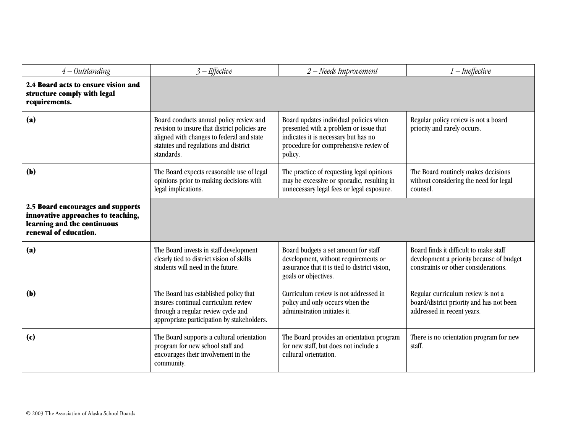| $4 - Outstanding$                                                                                                               | $3$ – Effective                                                                                                                                                                              | 2 - Needs Improvement                                                                                                                                                        | 1 - Ineffective                                                                                                            |
|---------------------------------------------------------------------------------------------------------------------------------|----------------------------------------------------------------------------------------------------------------------------------------------------------------------------------------------|------------------------------------------------------------------------------------------------------------------------------------------------------------------------------|----------------------------------------------------------------------------------------------------------------------------|
| 2.4 Board acts to ensure vision and<br>structure comply with legal<br>requirements.                                             |                                                                                                                                                                                              |                                                                                                                                                                              |                                                                                                                            |
| (a)                                                                                                                             | Board conducts annual policy review and<br>revision to insure that district policies are<br>aligned with changes to federal and state<br>statutes and regulations and district<br>standards. | Board updates individual policies when<br>presented with a problem or issue that<br>indicates it is necessary but has no<br>procedure for comprehensive review of<br>policy. | Regular policy review is not a board<br>priority and rarely occurs.                                                        |
| (b)                                                                                                                             | The Board expects reasonable use of legal<br>opinions prior to making decisions with<br>legal implications.                                                                                  | The practice of requesting legal opinions<br>may be excessive or sporadic, resulting in<br>unnecessary legal fees or legal exposure.                                         | The Board routinely makes decisions<br>without considering the need for legal<br>counsel.                                  |
| 2.5 Board encourages and supports<br>innovative approaches to teaching,<br>learning and the continuous<br>renewal of education. |                                                                                                                                                                                              |                                                                                                                                                                              |                                                                                                                            |
| (a)                                                                                                                             | The Board invests in staff development<br>clearly tied to district vision of skills<br>students will need in the future.                                                                     | Board budgets a set amount for staff<br>development, without requirements or<br>assurance that it is tied to district vision,<br>goals or objectives.                        | Board finds it difficult to make staff<br>development a priority because of budget<br>constraints or other considerations. |
| (b)                                                                                                                             | The Board has established policy that<br>insures continual curriculum review<br>through a regular review cycle and<br>appropriate participation by stakeholders.                             | Curriculum review is not addressed in<br>policy and only occurs when the<br>administration initiates it.                                                                     | Regular curriculum review is not a<br>board/district priority and has not been<br>addressed in recent years.               |
| (c)                                                                                                                             | The Board supports a cultural orientation<br>program for new school staff and<br>encourages their involvement in the<br>community.                                                           | The Board provides an orientation program<br>for new staff, but does not include a<br>cultural orientation.                                                                  | There is no orientation program for new<br>staff.                                                                          |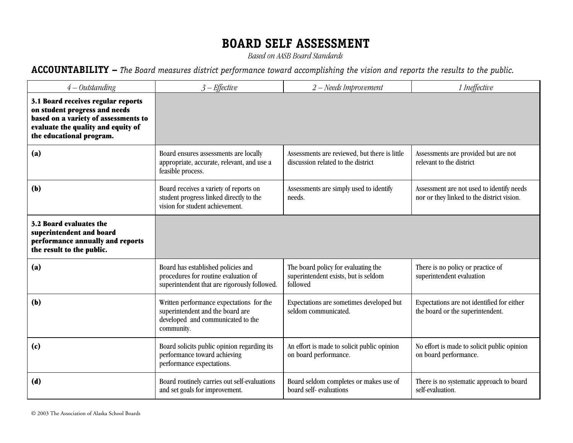*Based on AASB Board Standards*

### **ACCOUNTABILITY –** *The Board measures district performance toward accomplishing the vision and reports the results to the public.*

| $4 - Outstanding$                                                                                                                                                             | $3$ – Effective                                                                                                                 | 2 - Needs Improvement                                                                   | 1 Ineffective                                                                           |
|-------------------------------------------------------------------------------------------------------------------------------------------------------------------------------|---------------------------------------------------------------------------------------------------------------------------------|-----------------------------------------------------------------------------------------|-----------------------------------------------------------------------------------------|
| 3.1 Board receives regular reports<br>on student progress and needs<br>based on a variety of assessments to<br>evaluate the quality and equity of<br>the educational program. |                                                                                                                                 |                                                                                         |                                                                                         |
| (a)                                                                                                                                                                           | Board ensures assessments are locally<br>appropriate, accurate, relevant, and use a<br>feasible process.                        | Assessments are reviewed, but there is little<br>discussion related to the district     | Assessments are provided but are not<br>relevant to the district                        |
| (b)                                                                                                                                                                           | Board receives a variety of reports on<br>student progress linked directly to the<br>vision for student achievement.            | Assessments are simply used to identify<br>needs.                                       | Assessment are not used to identify needs<br>nor or they linked to the district vision. |
| 3.2 Board evaluates the<br>superintendent and board<br>performance annually and reports<br>the result to the public.                                                          |                                                                                                                                 |                                                                                         |                                                                                         |
| (a)                                                                                                                                                                           | Board has established policies and<br>procedures for routine evaluation of<br>superintendent that are rigorously followed.      | The board policy for evaluating the<br>superintendent exists, but is seldom<br>followed | There is no policy or practice of<br>superintendent evaluation                          |
| (b)                                                                                                                                                                           | Written performance expectations for the<br>superintendent and the board are<br>developed and communicated to the<br>community. | Expectations are sometimes developed but<br>seldom communicated.                        | Expectations are not identified for either<br>the board or the superintendent.          |
| (c)                                                                                                                                                                           | Board solicits public opinion regarding its<br>performance toward achieving<br>performance expectations.                        | An effort is made to solicit public opinion<br>on board performance.                    | No effort is made to solicit public opinion<br>on board performance.                    |
| (d)                                                                                                                                                                           | Board routinely carries out self-evaluations<br>and set goals for improvement.                                                  | Board seldom completes or makes use of<br>board self-evaluations                        | There is no systematic approach to board<br>self-evaluation.                            |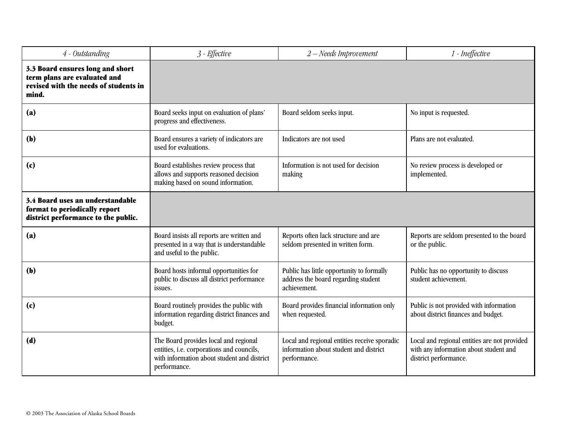| 4 - Outstanding                                                                                                    | 3 - Effective                                                                                                                                     | 2 - Needs Improvement                                                                                  | 1 - Ineffective                                                                                                 |
|--------------------------------------------------------------------------------------------------------------------|---------------------------------------------------------------------------------------------------------------------------------------------------|--------------------------------------------------------------------------------------------------------|-----------------------------------------------------------------------------------------------------------------|
| 3.3 Board ensures long and short<br>term plans are evaluated and<br>revised with the needs of students in<br>mind. |                                                                                                                                                   |                                                                                                        |                                                                                                                 |
| (a)                                                                                                                | Board seeks input on evaluation of plans'<br>progress and effectiveness.                                                                          | Board seldom seeks input.                                                                              | No input is requested.                                                                                          |
| (b)                                                                                                                | Board ensures a variety of indicators are<br>used for evaluations.                                                                                | Indicators are not used                                                                                | Plans are not evaluated.                                                                                        |
| (c)                                                                                                                | Board establishes review process that<br>allows and supports reasoned decision<br>making based on sound information.                              | Information is not used for decision<br>making                                                         | No review process is developed or<br>implemented.                                                               |
| 3.4 Board uses an understandable<br>format to periodically report<br>district performance to the public.           |                                                                                                                                                   |                                                                                                        |                                                                                                                 |
| (a)                                                                                                                | Board insists all reports are written and<br>presented in a way that is understandable<br>and useful to the public.                               | Reports often lack structure and are<br>seldom presented in written form.                              | Reports are seldom presented to the board<br>or the public.                                                     |
| (b)                                                                                                                | Board hosts informal opportunities for<br>public to discuss all district performance<br>issues.                                                   | Public has little opportunity to formally<br>address the board regarding student<br>achievement.       | Public has no opportunity to discuss<br>student achievement.                                                    |
| (c)                                                                                                                | Board routinely provides the public with<br>information regarding district finances and<br>budget.                                                | Board provides financial information only<br>when requested.                                           | Public is not provided with information<br>about district finances and budget.                                  |
| (d)                                                                                                                | The Board provides local and regional<br>entities, i.e. corporations and councils,<br>with information about student and district<br>performance. | Local and regional entities receive sporadic<br>information about student and district<br>performance. | Local and regional entities are not provided<br>with any information about student and<br>district performance. |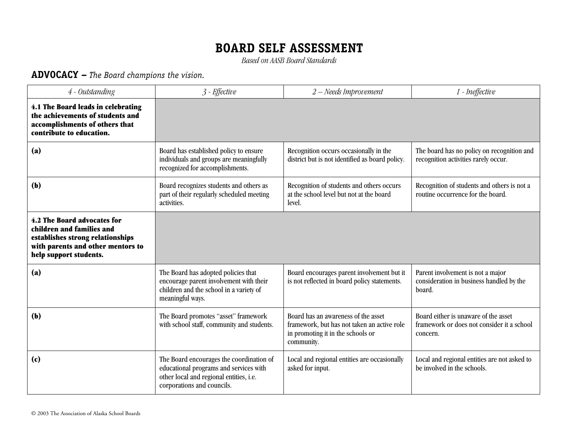*Based on AASB Board Standards*

### **ADVOCACY –** *The Board champions the vision.*

| 4 - Outstanding                                                                                                                                             | 3 - Effective                                                                                                                                               | $2 - Needs$ Improvement                                                                                                               | 1 - Ineffective                                                                                |
|-------------------------------------------------------------------------------------------------------------------------------------------------------------|-------------------------------------------------------------------------------------------------------------------------------------------------------------|---------------------------------------------------------------------------------------------------------------------------------------|------------------------------------------------------------------------------------------------|
| 4.1 The Board leads in celebrating<br>the achievements of students and<br>accomplishments of others that<br>contribute to education.                        |                                                                                                                                                             |                                                                                                                                       |                                                                                                |
| (a)                                                                                                                                                         | Board has established policy to ensure<br>individuals and groups are meaningfully<br>recognized for accomplishments.                                        | Recognition occurs occasionally in the<br>district but is not identified as board policy.                                             | The board has no policy on recognition and<br>recognition activities rarely occur.             |
| (b)                                                                                                                                                         | Board recognizes students and others as<br>part of their regularly scheduled meeting<br>activities.                                                         | Recognition of students and others occurs<br>at the school level but not at the board<br>level.                                       | Recognition of students and others is not a<br>routine occurrence for the board.               |
| 4.2 The Board advocates for<br>children and families and<br>establishes strong relationships<br>with parents and other mentors to<br>help support students. |                                                                                                                                                             |                                                                                                                                       |                                                                                                |
| (a)                                                                                                                                                         | The Board has adopted policies that<br>encourage parent involvement with their<br>children and the school in a variety of<br>meaningful ways.               | Board encourages parent involvement but it<br>is not reflected in board policy statements.                                            | Parent involvement is not a major<br>consideration in business handled by the<br>board.        |
| (b)                                                                                                                                                         | The Board promotes "asset" framework<br>with school staff, community and students.                                                                          | Board has an awareness of the asset<br>framework, but has not taken an active role<br>in promoting it in the schools or<br>community. | Board either is unaware of the asset<br>framework or does not consider it a school<br>concern. |
| (c)                                                                                                                                                         | The Board encourages the coordination of<br>educational programs and services with<br>other local and regional entities, i.e.<br>corporations and councils. | Local and regional entities are occasionally<br>asked for input.                                                                      | Local and regional entities are not asked to<br>be involved in the schools.                    |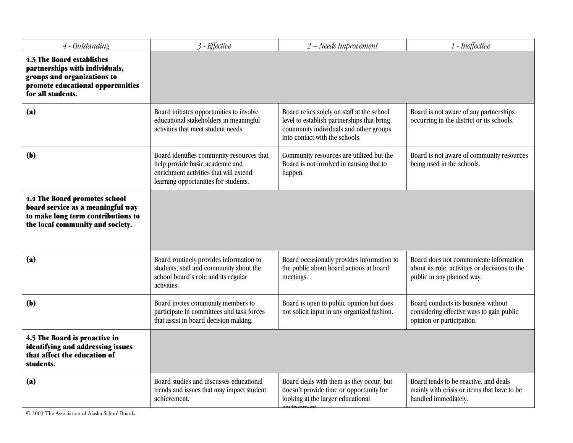| 4 - Outstanding                                                                                                                                      | 3 - Effective                                                                                                                                                  | $2 - Needs$ Improvement                                                                                                                                              | 1 - Ineffective                                                                                                        |
|------------------------------------------------------------------------------------------------------------------------------------------------------|----------------------------------------------------------------------------------------------------------------------------------------------------------------|----------------------------------------------------------------------------------------------------------------------------------------------------------------------|------------------------------------------------------------------------------------------------------------------------|
| 4.3 The Board establishes<br>partnerships with individuals,<br>groups and organizations to<br>promote educational opportunities<br>for all students. |                                                                                                                                                                |                                                                                                                                                                      |                                                                                                                        |
| (a)                                                                                                                                                  | Board initiates opportunities to involve<br>educational stakeholders in meaningful<br>activities that meet student needs.                                      | Board relies solely on staff at the school<br>level to establish partnerships that bring<br>community individuals and other groups<br>into contact with the schools. | Board is not aware of any partnerships<br>occurring in the district or its schools.                                    |
| (b)                                                                                                                                                  | Board identifies community resources that<br>help provide basic academic and<br>enrichment activities that will extend<br>learning opportunities for students. | Community resources are utilized but the<br>Board is not involved in causing that to<br>happen.                                                                      | Board is not aware of community resources<br>being used in the schools.                                                |
| 4.4 The Board promotes school<br>board service as a meaningful way<br>to make long term contributions to<br>the local community and society.         |                                                                                                                                                                |                                                                                                                                                                      |                                                                                                                        |
| (a)                                                                                                                                                  | Board routinely provides information to<br>students, staff and community about the<br>school board's role and its regular<br>activities.                       | Board occasionally provides information to<br>the public about board actions at board<br>meetings.                                                                   | Board does not communicate information<br>about its role, activities or decisions to the<br>public in any planned way. |
| (b)                                                                                                                                                  | Board invites community members to<br>participate in committees and task forces<br>that assist in board decision making.                                       | Board is open to public opinion but does<br>not solicit input in any organized fashion.                                                                              | Board conducts its business without<br>considering effective ways to gain public<br>opinion or participation.          |
| 4.5 The Board is proactive in<br>identifying and addressing issues<br>that affect the education of<br>students.                                      |                                                                                                                                                                |                                                                                                                                                                      |                                                                                                                        |
| (a)                                                                                                                                                  | Board studies and discusses educational<br>trends and issues that may impact student<br>achievement.                                                           | Board deals with them as they occur, but<br>doesn't provide time or opportunity for<br>looking at the larger educational<br>anviranmant                              | Board tends to be reactive, and deals<br>mainly with crisis or items that have to be<br>handled immediately.           |

© 2003 The Association of Alaska School Boards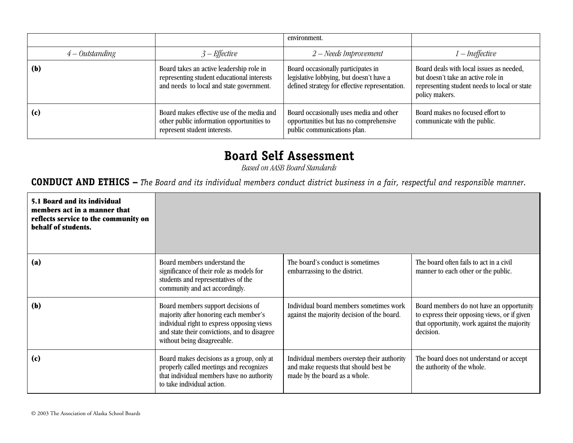|                   |                                                                                                                                    | environment.                                                                                                                     |                                                                                                                                                  |
|-------------------|------------------------------------------------------------------------------------------------------------------------------------|----------------------------------------------------------------------------------------------------------------------------------|--------------------------------------------------------------------------------------------------------------------------------------------------|
| $4 - Outstanding$ | $3$ – Effective                                                                                                                    | $2 - Needs$ Improvement                                                                                                          | 1 – Ineffective                                                                                                                                  |
| (b)               | Board takes an active leadership role in<br>representing student educational interests<br>and needs to local and state government. | Board occasionally participates in<br>legislative lobbying, but doesn't have a<br>defined strategy for effective representation. | Board deals with local issues as needed,<br>but doesn't take an active role in<br>representing student needs to local or state<br>policy makers. |
| (c)               | Board makes effective use of the media and<br>other public information opportunities to<br>represent student interests.            | Board occasionally uses media and other<br>opportunities but has no comprehensive<br>public communications plan.                 | Board makes no focused effort to<br>communicate with the public.                                                                                 |

# **Board Self Assessment**

*Based on AASB Board Standards*

### **CONDUCT AND ETHICS –** *The Board and its individual members conduct district business in a fair, respectful and responsible manner.*

| 5.1 Board and its individual<br>members act in a manner that<br>reflects service to the community on<br>behalf of students. |                                                                                                                                                                                                          |                                                                                                                       |                                                                                                                                                      |
|-----------------------------------------------------------------------------------------------------------------------------|----------------------------------------------------------------------------------------------------------------------------------------------------------------------------------------------------------|-----------------------------------------------------------------------------------------------------------------------|------------------------------------------------------------------------------------------------------------------------------------------------------|
| (a)                                                                                                                         | Board members understand the<br>significance of their role as models for<br>students and representatives of the<br>community and act accordingly.                                                        | The board's conduct is sometimes<br>embarrassing to the district.                                                     | The board often fails to act in a civil<br>manner to each other or the public.                                                                       |
| (b)                                                                                                                         | Board members support decisions of<br>majority after honoring each member's<br>individual right to express opposing views<br>and state their convictions, and to disagree<br>without being disagreeable. | Individual board members sometimes work<br>against the majority decision of the board.                                | Board members do not have an opportunity<br>to express their opposing views, or if given<br>that opportunity, work against the majority<br>decision. |
| (c)                                                                                                                         | Board makes decisions as a group, only at<br>properly called meetings and recognizes<br>that individual members have no authority<br>to take individual action.                                          | Individual members overstep their authority<br>and make requests that should best be<br>made by the board as a whole. | The board does not understand or accept<br>the authority of the whole.                                                                               |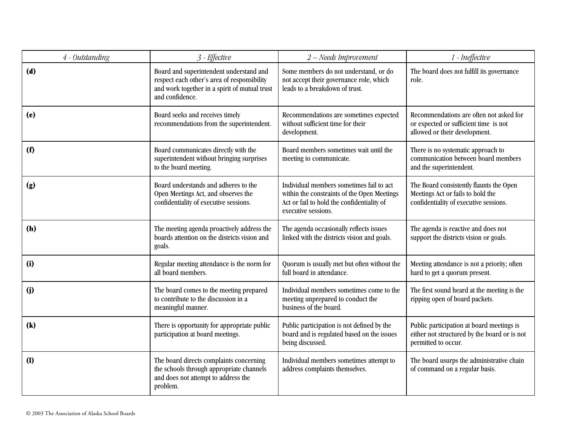| 4 - Outstanding | 3 - Effective                                                                                                                                              | 2 - Needs Improvement                                                                                                                                        | 1 - Ineffective                                                                                                        |
|-----------------|------------------------------------------------------------------------------------------------------------------------------------------------------------|--------------------------------------------------------------------------------------------------------------------------------------------------------------|------------------------------------------------------------------------------------------------------------------------|
| (d)             | Board and superintendent understand and<br>respect each other's area of responsibility<br>and work together in a spirit of mutual trust<br>and confidence. | Some members do not understand, or do<br>not accept their governance role, which<br>leads to a breakdown of trust.                                           | The board does not fulfill its governance<br>role.                                                                     |
| (e)             | Board seeks and receives timely<br>recommendations from the superintendent.                                                                                | Recommendations are sometimes expected<br>without sufficient time for their<br>development.                                                                  | Recommendations are often not asked for<br>or expected or sufficient time is not<br>allowed or their development.      |
| (f)             | Board communicates directly with the<br>superintendent without bringing surprises<br>to the board meeting.                                                 | Board members sometimes wait until the<br>meeting to communicate.                                                                                            | There is no systematic approach to<br>communication between board members<br>and the superintendent.                   |
| (g)             | Board understands and adheres to the<br>Open Meetings Act, and observes the<br>confidentiality of executive sessions.                                      | Individual members sometimes fail to act<br>within the constraints of the Open Meetings<br>Act or fail to hold the confidentiality of<br>executive sessions. | The Board consistently flaunts the Open<br>Meetings Act or fails to hold the<br>confidentiality of executive sessions. |
| (h)             | The meeting agenda proactively address the<br>boards attention on the districts vision and<br>goals.                                                       | The agenda occasionally reflects issues<br>linked with the districts vision and goals.                                                                       | The agenda is reactive and does not<br>support the districts vision or goals.                                          |
| (i)             | Regular meeting attendance is the norm for<br>all board members.                                                                                           | Quorum is usually met but often without the<br>full board in attendance.                                                                                     | Meeting attendance is not a priority; often<br>hard to get a quorum present.                                           |
| (j)             | The board comes to the meeting prepared<br>to contribute to the discussion in a<br>meaningful manner.                                                      | Individual members sometimes come to the<br>meeting unprepared to conduct the<br>business of the board.                                                      | The first sound heard at the meeting is the<br>ripping open of board packets.                                          |
| (k)             | There is opportunity for appropriate public<br>participation at board meetings.                                                                            | Public participation is not defined by the<br>board and is regulated based on the issues<br>being discussed.                                                 | Public participation at board meetings is<br>either not structured by the board or is not<br>permitted to occur.       |
| (1)             | The board directs complaints concerning<br>the schools through appropriate channels<br>and does not attempt to address the<br>problem.                     | Individual members sometimes attempt to<br>address complaints themselves.                                                                                    | The board usurps the administrative chain<br>of command on a regular basis.                                            |